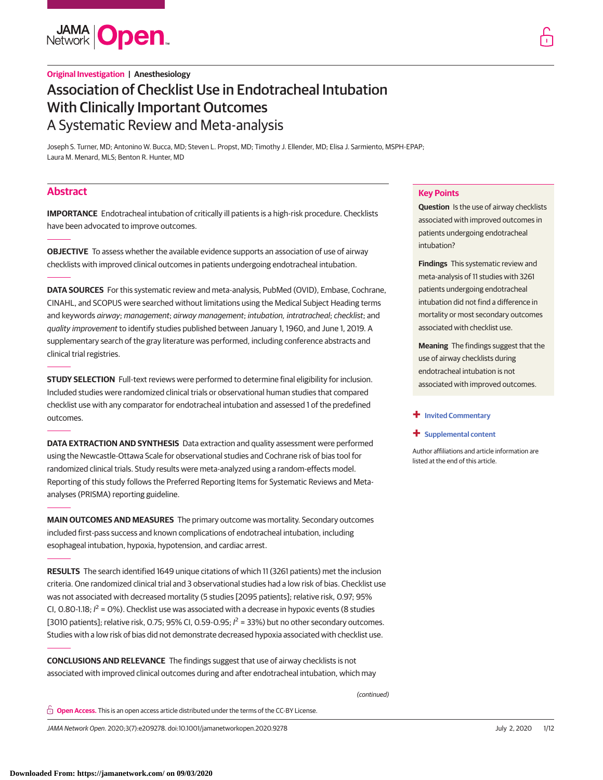

Joseph S. Turner, MD; Antonino W. Bucca, MD; Steven L. Propst, MD; Timothy J. Ellender, MD; Elisa J. Sarmiento, MSPH-EPAP; Laura M. Menard, MLS; Benton R. Hunter, MD

# **Abstract**

**IMPORTANCE** Endotracheal intubation of critically ill patients is a high-risk procedure. Checklists have been advocated to improve outcomes.

**OBJECTIVE** To assess whether the available evidence supports an association of use of airway checklists with improved clinical outcomes in patients undergoing endotracheal intubation.

**DATA SOURCES** For this systematic review and meta-analysis, PubMed (OVID), Embase, Cochrane, CINAHL, and SCOPUS were searched without limitations using the Medical Subject Heading terms and keywords airway; management; airway management; intubation, intratracheal; checklist; and quality improvement to identify studies published between January 1, 1960, and June 1, 2019. A supplementary search of the gray literature was performed, including conference abstracts and clinical trial registries.

**STUDY SELECTION** Full-text reviews were performed to determine final eligibility for inclusion. Included studies were randomized clinical trials or observational human studies that compared checklist use with any comparator for endotracheal intubation and assessed 1 of the predefined outcomes.

**DATA EXTRACTION AND SYNTHESIS** Data extraction and quality assessment were performed using the Newcastle-Ottawa Scale for observational studies and Cochrane risk of bias tool for randomized clinical trials. Study results were meta-analyzed using a random-effects model. Reporting of this study follows the Preferred Reporting Items for Systematic Reviews and Metaanalyses (PRISMA) reporting guideline.

**MAIN OUTCOMES AND MEASURES** The primary outcome was mortality. Secondary outcomes included first-pass success and known complications of endotracheal intubation, including esophageal intubation, hypoxia, hypotension, and cardiac arrest.

**RESULTS** The search identified 1649 unique citations of which 11 (3261 patients) met the inclusion criteria. One randomized clinical trial and 3 observational studies had a low risk of bias. Checklist use was not associated with decreased mortality (5 studies [2095 patients]; relative risk, 0.97; 95% CI, 0.80-1.18;  $l^2$  = 0%). Checklist use was associated with a decrease in hypoxic events (8 studies [3010 patients]; relative risk, 0.75; 95% CI, 0.59-0.95;  $l^2$  = 33%) but no other secondary outcomes. Studies with a low risk of bias did not demonstrate decreased hypoxia associated with checklist use.

**CONCLUSIONS AND RELEVANCE** The findings suggest that use of airway checklists is not associated with improved clinical outcomes during and after endotracheal intubation, which may

(continued)

**Open Access.** This is an open access article distributed under the terms of the CC-BY License.

JAMA Network Open. 2020;3(7):e209278. doi:10.1001/jamanetworkopen.2020.9278 (Reprinted) July 2, 2020 1/12

### **Key Points**

**Question** Is the use of airway checklists associated with improved outcomes in patients undergoing endotracheal intubation?

**Findings** This systematic review and meta-analysis of 11 studies with 3261 patients undergoing endotracheal intubation did not find a difference in mortality or most secondary outcomes associated with checklist use.

**Meaning** The findings suggest that the use of airway checklists during endotracheal intubation is not associated with improved outcomes.

#### **+ [Invited Commentary](https://jama.jamanetwork.com/article.aspx?doi=10.1001/jamanetworkopen.2020.9511&utm_campaign=articlePDF%26utm_medium=articlePDFlink%26utm_source=articlePDF%26utm_content=jamanetworkopen.2020.9278)**

#### **+ [Supplemental content](https://jama.jamanetwork.com/article.aspx?doi=10.1001/jamanetworkopen.2020.9278&utm_campaign=articlePDF%26utm_medium=articlePDFlink%26utm_source=articlePDF%26utm_content=jamanetworkopen.2020.9278)**

Author affiliations and article information are listed at the end of this article.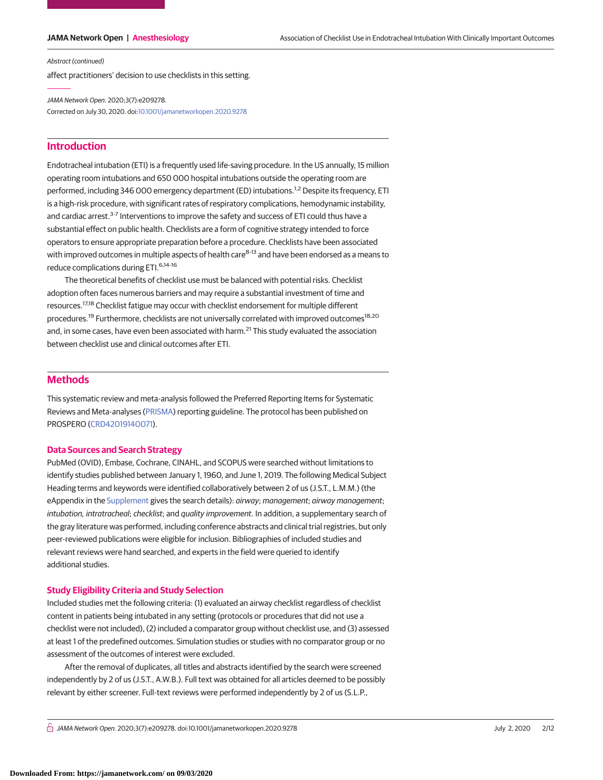Abstract (continued)

affect practitioners' decision to use checklists in this setting.

JAMA Network Open. 2020;3(7):e209278. Corrected on July 30, 2020. doi[:10.1001/jamanetworkopen.2020.9278](https://jama.jamanetwork.com/article.aspx?doi=10.1001/jamanetworkopen.2020.9278&utm_campaign=articlePDF%26utm_medium=articlePDFlink%26utm_source=articlePDF%26utm_content=jamanetworkopen.2020.9278)

# **Introduction**

Endotracheal intubation (ETI) is a frequently used life-saving procedure. In the US annually, 15 million operating room intubations and 650 000 hospital intubations outside the operating room are performed, including 346 000 emergency department (ED) intubations.<sup>1,2</sup> Despite its frequency, ETI is a high-risk procedure, with significant rates of respiratory complications, hemodynamic instability, and cardiac arrest.<sup>3-7</sup> Interventions to improve the safety and success of ETI could thus have a substantial effect on public health. Checklists are a form of cognitive strategy intended to force operators to ensure appropriate preparation before a procedure. Checklists have been associated with improved outcomes in multiple aspects of health care<sup>8-13</sup> and have been endorsed as a means to reduce complications during ETI.6,14-16

The theoretical benefits of checklist use must be balanced with potential risks. Checklist adoption often faces numerous barriers and may require a substantial investment of time and resources.17,18 Checklist fatigue may occur with checklist endorsement for multiple different procedures.<sup>19</sup> Furthermore, checklists are not universally correlated with improved outcomes<sup>18,20</sup> and, in some cases, have even been associated with harm.<sup>21</sup> This study evaluated the association between checklist use and clinical outcomes after ETI.

# **Methods**

This systematic review and meta-analysis followed the Preferred Reporting Items for Systematic Reviews and Meta-analyses [\(PRISMA\)](https://www.equator-network.org/reporting-guidelines/prisma/) reporting guideline. The protocol has been published on PROSPERO [\(CRD42019140071\)](https://www.crd.york.ac.uk/prospero/display_record.php?RecordID=140071).

## **Data Sources and Search Strategy**

PubMed (OVID), Embase, Cochrane, CINAHL, and SCOPUS were searched without limitations to identify studies published between January 1, 1960, and June 1, 2019. The following Medical Subject Heading terms and keywords were identified collaboratively between 2 of us (J.S.T., L.M.M.) (the eAppendix in the [Supplement](https://jama.jamanetwork.com/article.aspx?doi=10.1001/jamanetworkopen.2020.9278&utm_campaign=articlePDF%26utm_medium=articlePDFlink%26utm_source=articlePDF%26utm_content=jamanetworkopen.2020.9278) gives the search details): *airway*; management; airway management; intubation, intratracheal; checklist; and quality improvement. In addition, a supplementary search of the gray literature was performed, including conference abstracts and clinical trial registries, but only peer-reviewed publications were eligible for inclusion. Bibliographies of included studies and relevant reviews were hand searched, and experts in the field were queried to identify additional studies.

## **Study Eligibility Criteria and Study Selection**

Included studies met the following criteria: (1) evaluated an airway checklist regardless of checklist content in patients being intubated in any setting (protocols or procedures that did not use a checklist were not included), (2) included a comparator group without checklist use, and (3) assessed at least 1 of the predefined outcomes. Simulation studies or studies with no comparator group or no assessment of the outcomes of interest were excluded.

After the removal of duplicates, all titles and abstracts identified by the search were screened independently by 2 of us (J.S.T., A.W.B.). Full text was obtained for all articles deemed to be possibly relevant by either screener. Full-text reviews were performed independently by 2 of us (S.L.P.,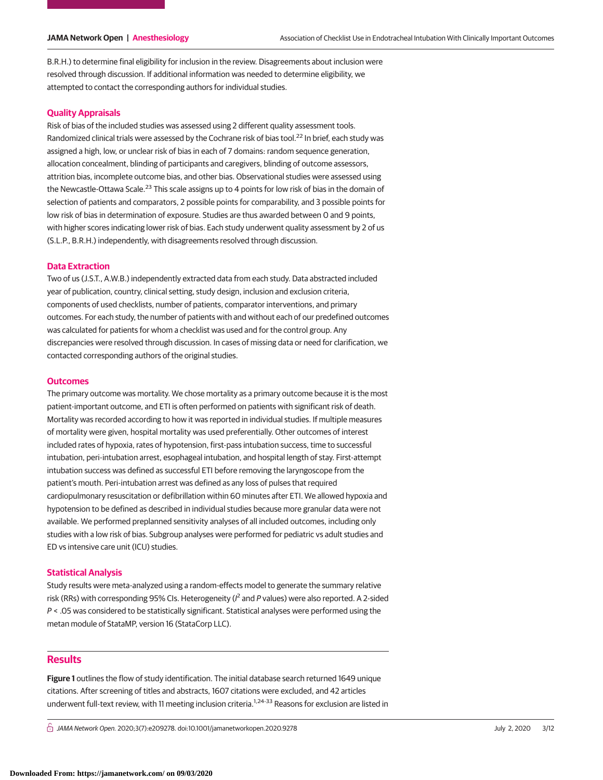B.R.H.) to determine final eligibility for inclusion in the review. Disagreements about inclusion were resolved through discussion. If additional information was needed to determine eligibility, we attempted to contact the corresponding authors for individual studies.

## **Quality Appraisals**

Risk of bias of the included studies was assessed using 2 different quality assessment tools. Randomized clinical trials were assessed by the Cochrane risk of bias tool.<sup>22</sup> In brief, each study was assigned a high, low, or unclear risk of bias in each of 7 domains: random sequence generation, allocation concealment, blinding of participants and caregivers, blinding of outcome assessors, attrition bias, incomplete outcome bias, and other bias. Observational studies were assessed using the Newcastle-Ottawa Scale.<sup>23</sup> This scale assigns up to 4 points for low risk of bias in the domain of selection of patients and comparators, 2 possible points for comparability, and 3 possible points for low risk of bias in determination of exposure. Studies are thus awarded between 0 and 9 points, with higher scores indicating lower risk of bias. Each study underwent quality assessment by 2 of us (S.L.P., B.R.H.) independently, with disagreements resolved through discussion.

## **Data Extraction**

Two of us (J.S.T., A.W.B.) independently extracted data from each study. Data abstracted included year of publication, country, clinical setting, study design, inclusion and exclusion criteria, components of used checklists, number of patients, comparator interventions, and primary outcomes. For each study, the number of patients with and without each of our predefined outcomes was calculated for patients for whom a checklist was used and for the control group. Any discrepancies were resolved through discussion. In cases of missing data or need for clarification, we contacted corresponding authors of the original studies.

#### **Outcomes**

The primary outcome was mortality. We chose mortality as a primary outcome because it is the most patient-important outcome, and ETI is often performed on patients with significant risk of death. Mortality was recorded according to how it was reported in individual studies. If multiple measures of mortality were given, hospital mortality was used preferentially. Other outcomes of interest included rates of hypoxia, rates of hypotension, first-pass intubation success, time to successful intubation, peri-intubation arrest, esophageal intubation, and hospital length of stay. First-attempt intubation success was defined as successful ETI before removing the laryngoscope from the patient's mouth. Peri-intubation arrest was defined as any loss of pulses that required cardiopulmonary resuscitation or defibrillation within 60 minutes after ETI. We allowed hypoxia and hypotension to be defined as described in individual studies because more granular data were not available. We performed preplanned sensitivity analyses of all included outcomes, including only studies with a low risk of bias. Subgroup analyses were performed for pediatric vs adult studies and ED vs intensive care unit (ICU) studies.

## **Statistical Analysis**

Study results were meta-analyzed using a random-effects model to generate the summary relative risk (RRs) with corresponding 95% CIs. Heterogeneity ( $l^2$  and P values) were also reported. A 2-sided  $P <$  .05 was considered to be statistically significant. Statistical analyses were performed using the metan module of StataMP, version 16 (StataCorp LLC).

## **Results**

**Figure 1** outlines the flow of study identification. The initial database search returned 1649 unique citations. After screening of titles and abstracts, 1607 citations were excluded, and 42 articles underwent full-text review, with 11 meeting inclusion criteria.<sup>1,24-33</sup> Reasons for exclusion are listed in

 $\bigcap$  JAMA Network Open. 2020;3(7):e209278. doi:10.1001/jamanetworkopen.2020.9278  $\bigcap$  July 2, 2020 3/12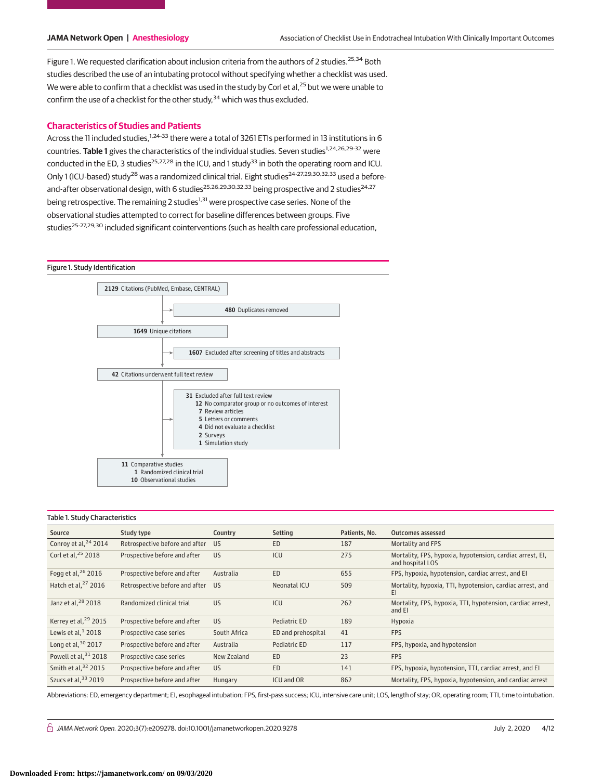Figure 1. We requested clarification about inclusion criteria from the authors of 2 studies.<sup>25,34</sup> Both studies described the use of an intubating protocol without specifying whether a checklist was used. We were able to confirm that a checklist was used in the study by Corl et al,<sup>25</sup> but we were unable to confirm the use of a checklist for the other study,  $34$  which was thus excluded.

## **Characteristics of Studies and Patients**

Across the 11 included studies,  $1,24-33$  there were a total of 3261 ETIs performed in 13 institutions in 6 countries. Table 1 gives the characteristics of the individual studies. Seven studies<sup>1,24,26,29-32</sup> were conducted in the ED, 3 studies<sup>25,27,28</sup> in the ICU, and 1 study<sup>33</sup> in both the operating room and ICU. Only 1 (ICU-based) study<sup>28</sup> was a randomized clinical trial. Eight studies<sup>24-27,29,30,32,33</sup> used a beforeand-after observational design, with 6 studies<sup>25,26,29,30,32,33</sup> being prospective and 2 studies<sup>24,27</sup> being retrospective. The remaining 2 studies<sup>1,31</sup> were prospective case series. None of the observational studies attempted to correct for baseline differences between groups. Five studies<sup>25-27,29,30</sup> included significant cointerventions (such as health care professional education,

#### Figure 1. Study Identification



#### Table 1. Study Characteristics

| Source                           | Study type                     | Country      | Setting            | Patients, No. | Outcomes assessed                                                             |
|----------------------------------|--------------------------------|--------------|--------------------|---------------|-------------------------------------------------------------------------------|
| Conroy et al, <sup>24</sup> 2014 | Retrospective before and after | US.          | <b>ED</b>          | 187           | Mortality and FPS                                                             |
| Corl et al. <sup>25</sup> 2018   | Prospective before and after   | <b>US</b>    | ICU                | 275           | Mortality, FPS, hypoxia, hypotension, cardiac arrest, EI,<br>and hospital LOS |
| Fogg et al, $26$ 2016            | Prospective before and after   | Australia    | <b>ED</b>          | 655           | FPS, hypoxia, hypotension, cardiac arrest, and EI                             |
| Hatch et al, $27$ 2016           | Retrospective before and after | US.          | Neonatal ICU       | 509           | Mortality, hypoxia, TTI, hypotension, cardiac arrest, and<br>ΕI               |
| Janz et al, <sup>28</sup> 2018   | Randomized clinical trial      | <b>US</b>    | ICU                | 262           | Mortality, FPS, hypoxia, TTI, hypotension, cardiac arrest,<br>and EI          |
| Kerrey et al, <sup>29</sup> 2015 | Prospective before and after   | <b>US</b>    | Pediatric ED       | 189           | Hypoxia                                                                       |
| Lewis et al, $12018$             | Prospective case series        | South Africa | ED and prehospital | 41            | <b>FPS</b>                                                                    |
| Long et al, $30$ 2017            | Prospective before and after   | Australia    | Pediatric ED       | 117           | FPS, hypoxia, and hypotension                                                 |
| Powell et al, 31 2018            | Prospective case series        | New Zealand  | ED                 | 23            | <b>FPS</b>                                                                    |
| Smith et al, 32 2015             | Prospective before and after   | <b>US</b>    | <b>ED</b>          | 141           | FPS, hypoxia, hypotension, TTI, cardiac arrest, and EI                        |
| Szucs et al. $33$ 2019           | Prospective before and after   | Hungary      | <b>ICU and OR</b>  | 862           | Mortality, FPS, hypoxia, hypotension, and cardiac arrest                      |

Abbreviations: ED, emergency department; EI, esophageal intubation; FPS, first-pass success; ICU, intensive care unit; LOS, length of stay; OR, operating room; TTI, time to intubation.

 $\bigcap$  JAMA Network Open. 2020;3(7):e209278. doi:10.1001/jamanetworkopen.2020.9278 doi:10.1001/jamanetworkopen.2020.9278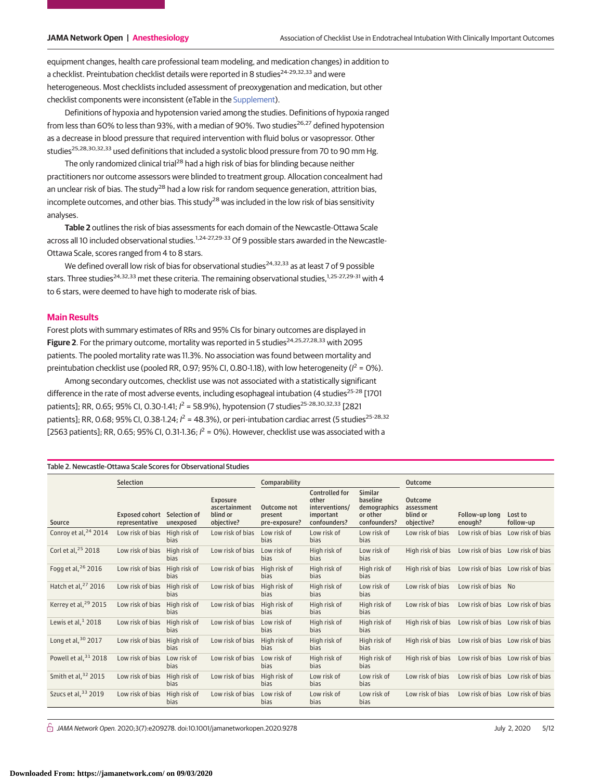equipment changes, health care professional team modeling, and medication changes) in addition to a checklist. Preintubation checklist details were reported in 8 studies<sup>24-29,32,33</sup> and were heterogeneous. Most checklists included assessment of preoxygenation and medication, but other checklist components were inconsistent (eTable in the [Supplement\)](https://jama.jamanetwork.com/article.aspx?doi=10.1001/jamanetworkopen.2020.9278&utm_campaign=articlePDF%26utm_medium=articlePDFlink%26utm_source=articlePDF%26utm_content=jamanetworkopen.2020.9278).

Definitions of hypoxia and hypotension varied among the studies. Definitions of hypoxia ranged from less than 60% to less than 93%, with a median of 90%. Two studies<sup>26,27</sup> defined hypotension as a decrease in blood pressure that required intervention with fluid bolus or vasopressor. Other studies<sup>25,28,30,32,33</sup> used definitions that included a systolic blood pressure from 70 to 90 mm Hg.

The only randomized clinical trial<sup>28</sup> had a high risk of bias for blinding because neither practitioners nor outcome assessors were blinded to treatment group. Allocation concealment had an unclear risk of bias. The study<sup>28</sup> had a low risk for random sequence generation, attrition bias, incomplete outcomes, and other bias. This study<sup>28</sup> was included in the low risk of bias sensitivity analyses.

**Table 2** outlines the risk of bias assessments for each domain of the Newcastle-Ottawa Scale across all 10 included observational studies.<sup>1,24-27,29-33</sup> Of 9 possible stars awarded in the Newcastle-Ottawa Scale, scores ranged from 4 to 8 stars.

We defined overall low risk of bias for observational studies $24,32,33$  as at least 7 of 9 possible stars. Three studies<sup>24,32,33</sup> met these criteria. The remaining observational studies,  $1,25-27,29-31$  with 4 to 6 stars, were deemed to have high to moderate risk of bias.

### **Main Results**

Forest plots with summary estimates of RRs and 95% CIs for binary outcomes are displayed in Figure 2. For the primary outcome, mortality was reported in 5 studies<sup>24,25,27,28,33</sup> with 2095 patients. The pooled mortality rate was 11.3%. No association was found between mortality and preintubation checklist use (pooled RR, 0.97; 95% CI, 0.80-1.18), with low heterogeneity ( $l^2$  = 0%).

Among secondary outcomes, checklist use was not associated with a statistically significant difference in the rate of most adverse events, including esophageal intubation (4 studies<sup>25-28</sup> [1701 patients]; RR, 0.65; 95% CI, 0.30-1.41;  $l^2$  = 58.9%), hypotension (7 studies<sup>25-28,30,32,33</sup> [2821 patients]; RR, 0.68; 95% CI, 0.38-1.24;  $l^2$  = 48.3%), or peri-intubation cardiac arrest (5 studies<sup>25-28,32</sup> [2563 patients]; RR, 0.65; 95% CI, 0.31-1.36;  $l^2$  = 0%). However, checklist use was associated with a

| Table 2. Newcastle-Ottawa Scale Scores for Observational Studies |                                         |                           |                                                            |                                         |                                                                               |                                                                        |                                                        |                           |                                   |
|------------------------------------------------------------------|-----------------------------------------|---------------------------|------------------------------------------------------------|-----------------------------------------|-------------------------------------------------------------------------------|------------------------------------------------------------------------|--------------------------------------------------------|---------------------------|-----------------------------------|
|                                                                  | <b>Selection</b>                        |                           |                                                            | Comparability                           |                                                                               |                                                                        | <b>Outcome</b>                                         |                           |                                   |
| Source                                                           | <b>Exposed cohort</b><br>representative | Selection of<br>unexposed | <b>Exposure</b><br>ascertainment<br>blind or<br>objective? | Outcome not<br>present<br>pre-exposure? | <b>Controlled for</b><br>other<br>interventions/<br>important<br>confounders? | <b>Similar</b><br>baseline<br>demographics<br>or other<br>confounders? | <b>Outcome</b><br>assessment<br>blind or<br>objective? | Follow-up long<br>enough? | Lost to<br>follow-up              |
| Conroy et al, <sup>24</sup> 2014                                 | Low risk of bias                        | High risk of<br>bias      | Low risk of bias                                           | Low risk of<br><b>bias</b>              | Low risk of<br>bias                                                           | Low risk of<br><b>bias</b>                                             | Low risk of bias                                       | Low risk of bias          | Low risk of bias                  |
| Corl et al, <sup>25</sup> 2018                                   | Low risk of bias                        | High risk of<br>bias      | Low risk of bias                                           | Low risk of<br><b>bias</b>              | High risk of<br><b>bias</b>                                                   | Low risk of<br>bias                                                    | High risk of bias                                      |                           | Low risk of bias Low risk of bias |
| Fogg et al, <sup>26</sup> 2016                                   | Low risk of bias                        | High risk of<br>bias      | Low risk of bias                                           | High risk of<br><b>bias</b>             | High risk of<br><b>bias</b>                                                   | High risk of<br>bias                                                   | High risk of bias                                      |                           | Low risk of bias Low risk of bias |
| Hatch et al, <sup>27</sup> 2016                                  | Low risk of bias                        | High risk of<br>bias      | Low risk of bias                                           | High risk of<br><b>bias</b>             | High risk of<br><b>bias</b>                                                   | Low risk of<br>bias                                                    | Low risk of bias                                       | Low risk of bias No       |                                   |
| Kerrey et al, <sup>29</sup> 2015                                 | Low risk of bias                        | High risk of<br>bias      | Low risk of bias                                           | High risk of<br><b>bias</b>             | High risk of<br><b>bias</b>                                                   | High risk of<br>bias                                                   | Low risk of bias                                       |                           | Low risk of bias Low risk of bias |
| Lewis et al, $12018$                                             | Low risk of bias                        | High risk of<br>bias      | Low risk of bias                                           | Low risk of<br><b>bias</b>              | High risk of<br>bias                                                          | High risk of<br><b>bias</b>                                            | High risk of bias                                      |                           | Low risk of bias Low risk of bias |
| Long et al, 30 2017                                              | Low risk of bias                        | High risk of<br>bias      | Low risk of bias                                           | High risk of<br><b>bias</b>             | High risk of<br><b>bias</b>                                                   | High risk of<br>bias                                                   | High risk of bias                                      |                           | Low risk of bias Low risk of bias |
| Powell et al, $31$ 2018                                          | Low risk of bias                        | Low risk of<br>bias       | Low risk of bias                                           | Low risk of<br><b>bias</b>              | High risk of<br><b>bias</b>                                                   | High risk of<br><b>bias</b>                                            | High risk of bias                                      |                           | Low risk of bias Low risk of bias |
| Smith et al, 32 2015                                             | Low risk of bias                        | High risk of<br>bias      | Low risk of bias                                           | High risk of<br><b>bias</b>             | Low risk of<br>bias                                                           | Low risk of<br>bias                                                    | Low risk of bias                                       |                           | Low risk of bias Low risk of bias |
| Szucs et al, 33 2019                                             | Low risk of bias                        | High risk of<br>bias      | Low risk of bias                                           | Low risk of<br><b>bias</b>              | Low risk of<br>bias                                                           | Low risk of<br>bias                                                    | Low risk of bias                                       |                           | Low risk of bias Low risk of bias |

 $\stackrel{\curvearrowright}{\cap}$  JAMA Network Open. 2020;3(7):e209278. doi:10.1001/jamanetworkopen.2020.9278  $\hspace{2cm}$  July 2, 2020 5/12

Table 2. Newcastle-Ottawa Scale Scores for Observational Studies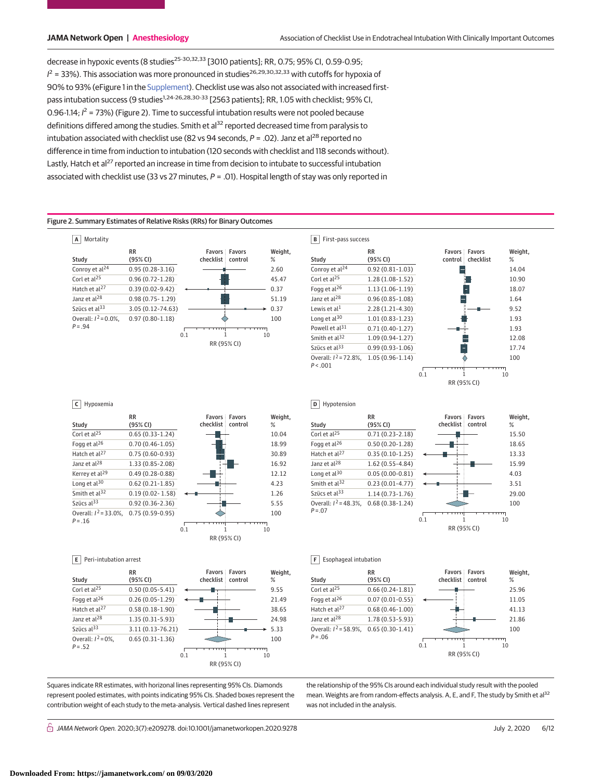decrease in hypoxic events (8 studies<sup>25-30,32,33</sup> [3010 patients]; RR, 0.75; 95% CI, 0.59-0.95;  $l^2$  = 33%). This association was more pronounced in studies<sup>26,29,30,32,33</sup> with cutoffs for hypoxia of 90% to 93% (eFigure 1 in the [Supplement\)](https://jama.jamanetwork.com/article.aspx?doi=10.1001/jamanetworkopen.2020.9278&utm_campaign=articlePDF%26utm_medium=articlePDFlink%26utm_source=articlePDF%26utm_content=jamanetworkopen.2020.9278). Checklist use was also not associated with increased firstpass intubation success (9 studies<sup>1,24-26,28,30-33</sup> [2563 patients]; RR, 1.05 with checklist; 95% CI, 0.96-1.14;  $l^2$  = 73%) (Figure 2). Time to successful intubation results were not pooled because definitions differed among the studies. Smith et al<sup>32</sup> reported decreased time from paralysis to intubation associated with checklist use (82 vs 94 seconds,  $P = .02$ ). Janz et al<sup>28</sup> reported no difference in time from induction to intubation (120 seconds with checklist and 118 seconds without). Lastly, Hatch et al<sup>27</sup> reported an increase in time from decision to intubate to successful intubation associated with checklist use (33 vs 27 minutes,  $P = .01$ ). Hospital length of stay was only reported in

#### Figure 2. Summary Estimates of Relative Risks (RRs) for Binary Outcomes





#### **C** Hypoxemia



**E** Peri-intubation arrest



Squares indicate RR estimates, with horizonal lines representing 95% CIs. Diamonds represent pooled estimates, with points indicating 95% CIs. Shaded boxes represent the contribution weight of each study to the meta-analysis. Vertical dashed lines represent

 $\stackrel{\curvearrowright}{\cap}$  JAMA Network Open. 2020;3(7):e209278. doi:10.1001/jamanetworkopen.2020.9278 (Reprinted) July 2, 2020 6/12



**F** Esophageal intubation

**D** Hypotension



the relationship of the 95% CIs around each individual study result with the pooled mean. Weights are from random-effects analysis. A, E, and F, The study by Smith et al<sup>32</sup> was not included in the analysis.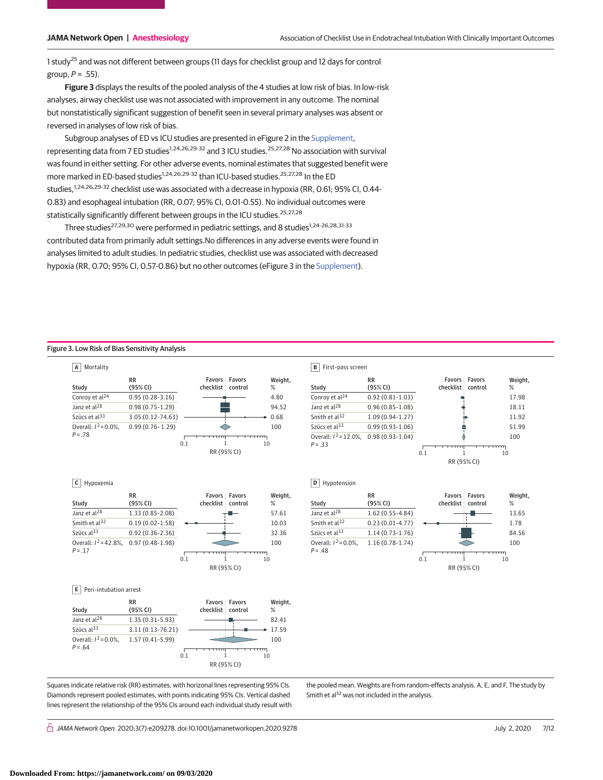1 study<sup>25</sup> and was not different between groups (11 days for checklist group and 12 days for control group,  $P = .55$ ).

**Figure 3** displays the results of the pooled analysis of the 4 studies at low risk of bias. In low-risk analyses, airway checklist use was not associated with improvement in any outcome. The nominal but nonstatistically significant suggestion of benefit seen in several primary analyses was absent or reversed in analyses of low risk of bias.

Subgroup analyses of ED vs ICU studies are presented in eFigure 2 in the [Supplement,](https://jama.jamanetwork.com/article.aspx?doi=10.1001/jamanetworkopen.2020.9278&utm_campaign=articlePDF%26utm_medium=articlePDFlink%26utm_source=articlePDF%26utm_content=jamanetworkopen.2020.9278) representing data from 7 ED studies<sup>1,24,26,29-32</sup> and 3 ICU studies.<sup>25,27,28</sup> No association with survival was found in either setting. For other adverse events, nominal estimates that suggested benefit were more marked in ED-based studies<sup>1,24,26,29-32</sup> than ICU-based studies.<sup>25,27,28</sup> In the ED studies,<sup>1,24,26,29-32</sup> checklist use was associated with a decrease in hypoxia (RR, 0.61; 95% CI, 0.44-0.83) and esophageal intubation (RR, 0.07; 95% CI, 0.01-0.55). No individual outcomes were statistically significantly different between groups in the ICU studies.<sup>25,27,28</sup>

Three studies<sup>27,29,30</sup> were performed in pediatric settings, and 8 studies<sup>1,24-26,28,31-33</sup> contributed data from primarily adult settings.No differences in any adverse events were found in analyses limited to adult studies. In pediatric studies, checklist use was associated with decreased hypoxia (RR, 0.70; 95% CI, 0.57-0.86) but no other outcomes (eFigure 3 in the [Supplement\)](https://jama.jamanetwork.com/article.aspx?doi=10.1001/jamanetworkopen.2020.9278&utm_campaign=articlePDF%26utm_medium=articlePDFlink%26utm_source=articlePDF%26utm_content=jamanetworkopen.2020.9278).

## Figure 3. Low Risk of Bias Sensitivity Analysis



0.1 1 10 Szücs al<sup>33</sup> 3.11 (0.13-76.21)  $\longrightarrow$  17.59 Overall:  $I^2 = 0.0\%$ , 1.57 (0.41-5.99) *P* =.64 100

RR (95% CI)

Squares indicate relative risk (RR) estimates, with horizonal lines representing 95% CIs. Diamonds represent pooled estimates, with points indicating 95% CIs. Vertical dashed lines represent the relationship of the 95% CIs around each individual study result with

the pooled mean. Weights are from random-effects analysis. A, E, and F, The study by Smith et al<sup>32</sup> was not included in the analysis.

 $\stackrel{\frown}{\Box}$  JAMA Network Open. 2020;3(7):e209278. doi:10.1001/jamanetworkopen.2020.9278  $\Box$  July 2, 2020 7/12

# **B** First-pass screen

|                            | <b>RR</b>           | <b>Favors: Favors</b> | Weight, |  |  |
|----------------------------|---------------------|-----------------------|---------|--|--|
| Study                      | (95% CI)            | checklist control     | %       |  |  |
| Conroy et al <sup>24</sup> | $0.92(0.81-1.03)$   |                       | 17.98   |  |  |
| Janz et al <sup>28</sup>   | $0.96(0.85 - 1.08)$ |                       | 18.11   |  |  |
| Smith et al <sup>32</sup>  | $1.09(0.94-1.27)$   |                       | 11.92   |  |  |
| Szücs et al $^{33}$        | $0.99(0.93 - 1.06)$ |                       | 51.99   |  |  |
| Overall: $I^2 = 12.0\%$ ,  | $0.98(0.93 - 1.04)$ |                       | 100     |  |  |
| $P = .33$                  |                     |                       |         |  |  |
|                            |                     | 0.1                   | 10      |  |  |
|                            |                     | RR (95% CI)           |         |  |  |

**D** Hypotension



**Downloaded From: https://jamanetwork.com/ on 09/03/2020**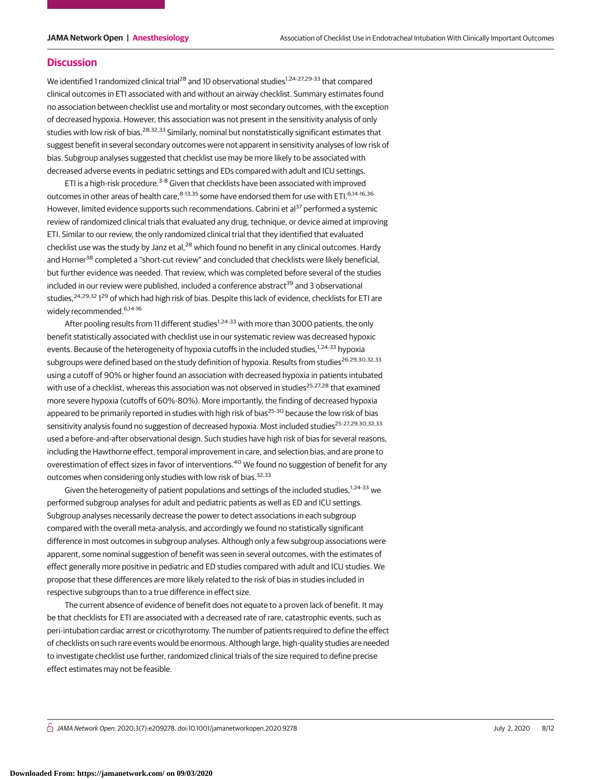## **Discussion**

We identified 1 randomized clinical trial<sup>28</sup> and 10 observational studies<sup>1,24-27,29-33</sup> that compared clinical outcomes in ETI associated with and without an airway checklist. Summary estimates found no association between checklist use and mortality or most secondary outcomes, with the exception of decreased hypoxia. However, this association was not present in the sensitivity analysis of only studies with low risk of bias.<sup>28,32,33</sup> Similarly, nominal but nonstatistically significant estimates that suggest benefit in several secondary outcomes were not apparent in sensitivity analyses of low risk of bias. Subgroup analyses suggested that checklist use may be more likely to be associated with decreased adverse events in pediatric settings and EDs compared with adult and ICU settings.

ETI is a high-risk procedure.<sup>3-8</sup> Given that checklists have been associated with improved outcomes in other areas of health care, 8-13,35 some have endorsed them for use with ETI. 6,14-16,36 However, limited evidence supports such recommendations. Cabrini et al<sup>37</sup> performed a systemic review of randomized clinical trials that evaluated any drug, technique, or device aimed at improving ETI. Similar to our review, the only randomized clinical trial that they identified that evaluated checklist use was the study by Janz et al, $^{28}$  which found no benefit in any clinical outcomes. Hardy and Horner<sup>38</sup> completed a "short-cut review" and concluded that checklists were likely beneficial, but further evidence was needed. That review, which was completed before several of the studies included in our review were published, included a conference abstract<sup>39</sup> and 3 observational studies,<sup>24,29,32</sup> 1<sup>29</sup> of which had high risk of bias. Despite this lack of evidence, checklists for ETI are widely recommended.<sup>6,14-16</sup>

After pooling results from 11 different studies<sup>1,24-33</sup> with more than 3000 patients, the only benefit statistically associated with checklist use in our systematic review was decreased hypoxic events. Because of the heterogeneity of hypoxia cutoffs in the included studies,<sup>1,24-33</sup> hypoxia subgroups were defined based on the study definition of hypoxia. Results from studies<sup>26,29,30,32,33</sup> using a cutoff of 90% or higher found an association with decreased hypoxia in patients intubated with use of a checklist, whereas this association was not observed in studies<sup>25,27,28</sup> that examined more severe hypoxia (cutoffs of 60%-80%). More importantly, the finding of decreased hypoxia appeared to be primarily reported in studies with high risk of bias<sup>25-30</sup> because the low risk of bias sensitivity analysis found no suggestion of decreased hypoxia. Most included studies<sup>25-27,29,30,32,33</sup> used a before-and-after observational design. Such studies have high risk of bias for several reasons, including the Hawthorne effect, temporal improvement in care, and selection bias, and are prone to overestimation of effect sizes in favor of interventions.<sup>40</sup> We found no suggestion of benefit for any outcomes when considering only studies with low risk of bias.<sup>32,33</sup>

Given the heterogeneity of patient populations and settings of the included studies, $1.24-33$  we performed subgroup analyses for adult and pediatric patients as well as ED and ICU settings. Subgroup analyses necessarily decrease the power to detect associations in each subgroup compared with the overall meta-analysis, and accordingly we found no statistically significant difference in most outcomes in subgroup analyses. Although only a few subgroup associations were apparent, some nominal suggestion of benefit was seen in several outcomes, with the estimates of effect generally more positive in pediatric and ED studies compared with adult and ICU studies. We propose that these differences are more likely related to the risk of bias in studies included in respective subgroups than to a true difference in effect size.

The current absence of evidence of benefit does not equate to a proven lack of benefit. It may be that checklists for ETI are associated with a decreased rate of rare, catastrophic events, such as peri-intubation cardiac arrest or cricothyrotomy. The number of patients required to define the effect of checklists on such rare events would be enormous. Although large, high-quality studies are needed to investigate checklist use further, randomized clinical trials of the size required to define precise effect estimates may not be feasible.

 $\stackrel{\curvearrowright}{\cap}$  JAMA Network Open. 2020;3(7):e209278. doi:10.1001/jamanetworkopen.2020.9278 (Reprinted) July 2, 2020 8/12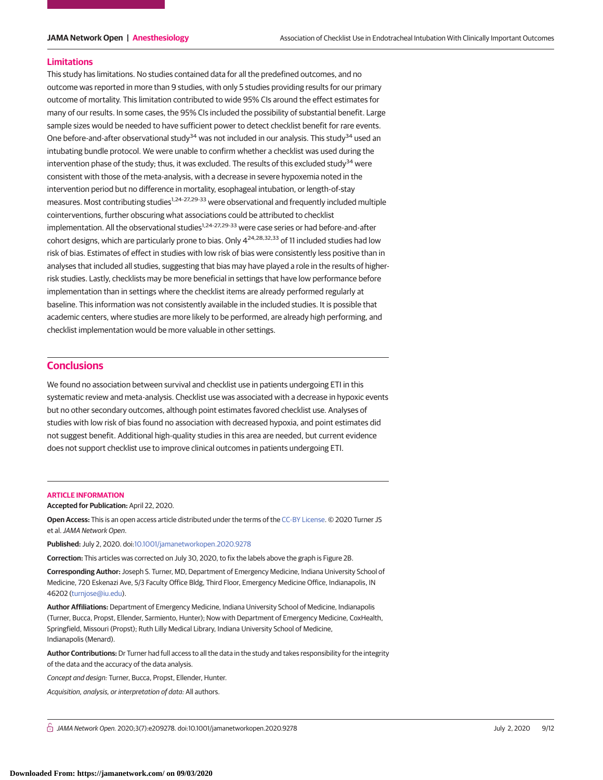#### **Limitations**

This study has limitations. No studies contained data for all the predefined outcomes, and no outcome was reported in more than 9 studies, with only 5 studies providing results for our primary outcome of mortality. This limitation contributed to wide 95% CIs around the effect estimates for many of our results. In some cases, the 95% CIs included the possibility of substantial benefit. Large sample sizes would be needed to have sufficient power to detect checklist benefit for rare events. One before-and-after observational study<sup>34</sup> was not included in our analysis. This study<sup>34</sup> used an intubating bundle protocol. We were unable to confirm whether a checklist was used during the intervention phase of the study; thus, it was excluded. The results of this excluded study<sup>34</sup> were consistent with those of the meta-analysis, with a decrease in severe hypoxemia noted in the intervention period but no difference in mortality, esophageal intubation, or length-of-stay measures. Most contributing studies<sup>1,24-27,29-33</sup> were observational and frequently included multiple cointerventions, further obscuring what associations could be attributed to checklist implementation. All the observational studies<sup>1,24-27,29-33</sup> were case series or had before-and-after cohort designs, which are particularly prone to bias. Only 4<sup>24,28,32,33</sup> of 11 included studies had low risk of bias. Estimates of effect in studies with low risk of bias were consistently less positive than in analyses that included all studies, suggesting that bias may have played a role in the results of higherrisk studies. Lastly, checklists may be more beneficial in settings that have low performance before implementation than in settings where the checklist items are already performed regularly at baseline. This information was not consistently available in the included studies. It is possible that academic centers, where studies are more likely to be performed, are already high performing, and checklist implementation would be more valuable in other settings.

# **Conclusions**

We found no association between survival and checklist use in patients undergoing ETI in this systematic review and meta-analysis. Checklist use was associated with a decrease in hypoxic events but no other secondary outcomes, although point estimates favored checklist use. Analyses of studies with low risk of bias found no association with decreased hypoxia, and point estimates did not suggest benefit. Additional high-quality studies in this area are needed, but current evidence does not support checklist use to improve clinical outcomes in patients undergoing ETI.

#### **ARTICLE INFORMATION**

**Accepted for Publication:** April 22, 2020.

**Open Access:** This is an open access article distributed under the terms of the [CC-BY License.](https://jamanetwork.com/journals/jamanetworkopen/pages/instructions-for-authors#SecOpenAccess/?utm_campaign=articlePDF%26utm_medium=articlePDFlink%26utm_source=articlePDF%26utm_content=jamanetworkopen.2020.9278) © 2020 Turner JS et al.JAMA Network Open.

**Published:** July 2, 2020. doi[:10.1001/jamanetworkopen.2020.9278](https://jama.jamanetwork.com/article.aspx?doi=10.1001/jamanetworkopen.2020.9278&utm_campaign=articlePDF%26utm_medium=articlePDFlink%26utm_source=articlePDF%26utm_content=jamanetworkopen.2020.9278)

**Correction:** This articles was corrected on July 30, 2020, to fix the labels above the graph is Figure 2B.

**Corresponding Author:** Joseph S. Turner, MD, Department of Emergency Medicine, Indiana University School of Medicine, 720 Eskenazi Ave, 5/3 Faculty Office Bldg, Third Floor, Emergency Medicine Office, Indianapolis, IN 46202 [\(turnjose@iu.edu\)](mailto:turnjose@iu.edu).

**Author Affiliations:** Department of Emergency Medicine, Indiana University School of Medicine, Indianapolis (Turner, Bucca, Propst, Ellender, Sarmiento, Hunter); Now with Department of Emergency Medicine, CoxHealth, Springfield, Missouri (Propst); Ruth Lilly Medical Library, Indiana University School of Medicine, Indianapolis (Menard).

**Author Contributions:** Dr Turner had full access to all the data in the study and takes responsibility for the integrity of the data and the accuracy of the data analysis.

Concept and design: Turner, Bucca, Propst, Ellender, Hunter.

Acquisition, analysis, or interpretation of data: All authors.

 $\stackrel{\frown}{\Box}$  JAMA Network Open. 2020;3(7):e209278. doi:10.1001/jamanetworkopen.2020.9278  $\Box$  July 2, 2020 9/12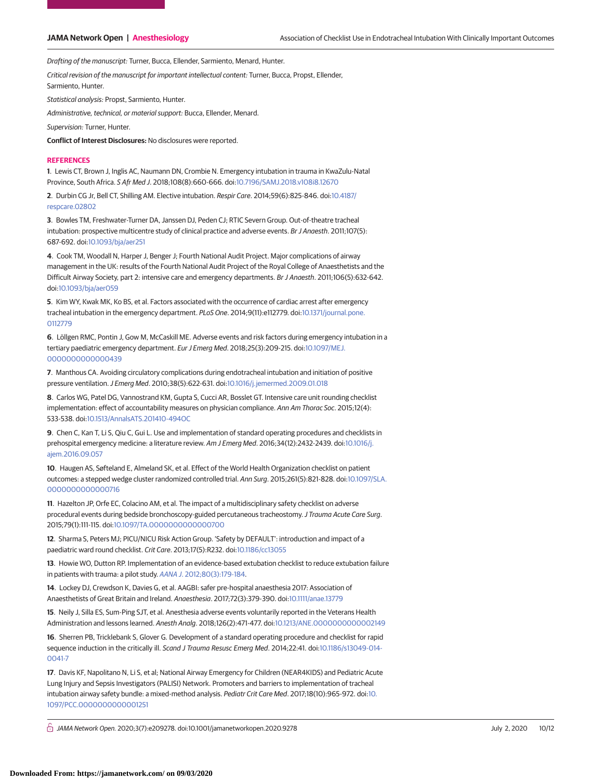Drafting of the manuscript: Turner, Bucca, Ellender, Sarmiento, Menard, Hunter.

Critical revision of the manuscript for important intellectual content: Turner, Bucca, Propst, Ellender, Sarmiento, Hunter.

Statistical analysis: Propst, Sarmiento, Hunter.

Administrative, technical, or material support: Bucca, Ellender, Menard.

Supervision: Turner, Hunter.

**Conflict of Interest Disclosures:** No disclosures were reported.

#### **REFERENCES**

**1**. Lewis CT, Brown J, Inglis AC, Naumann DN, Crombie N. Emergency intubation in trauma in KwaZulu-Natal Province, South Africa. S Afr Med J. 2018;108(8):660-666. doi[:10.7196/SAMJ.2018.v108i8.12670](https://dx.doi.org/10.7196/SAMJ.2018.v108i8.12670)

**2**. Durbin CG Jr, Bell CT, Shilling AM. Elective intubation. Respir Care. 2014;59(6):825-846. doi[:10.4187/](https://dx.doi.org/10.4187/respcare.02802) [respcare.02802](https://dx.doi.org/10.4187/respcare.02802)

**3**. Bowles TM, Freshwater-Turner DA, Janssen DJ, Peden CJ; RTIC Severn Group. Out-of-theatre tracheal intubation: prospective multicentre study of clinical practice and adverse events. Br J Anaesth. 2011;107(5): 687-692. doi[:10.1093/bja/aer251](https://dx.doi.org/10.1093/bja/aer251)

**4**. Cook TM, Woodall N, Harper J, Benger J; Fourth National Audit Project. Major complications of airway management in the UK: results of the Fourth National Audit Project of the Royal College of Anaesthetists and the Difficult Airway Society, part 2: intensive care and emergency departments. Br J Anaesth. 2011;106(5):632-642. doi[:10.1093/bja/aer059](https://dx.doi.org/10.1093/bja/aer059)

**5**. Kim WY, Kwak MK, Ko BS, et al. Factors associated with the occurrence of cardiac arrest after emergency tracheal intubation in the emergency department. PLoS One. 2014;9(11):e112779. doi[:10.1371/journal.pone.](https://dx.doi.org/10.1371/journal.pone.0112779) [0112779](https://dx.doi.org/10.1371/journal.pone.0112779)

**6**. Löllgen RMC, Pontin J, Gow M, McCaskill ME. Adverse events and risk factors during emergency intubation in a tertiary paediatric emergency department. Eur J Emerg Med. 2018;25(3):209-215. doi[:10.1097/MEJ.](https://dx.doi.org/10.1097/MEJ.0000000000000439) [0000000000000439](https://dx.doi.org/10.1097/MEJ.0000000000000439)

**7**. Manthous CA. Avoiding circulatory complications during endotracheal intubation and initiation of positive pressure ventilation.J Emerg Med. 2010;38(5):622-631. doi[:10.1016/j.jemermed.2009.01.018](https://dx.doi.org/10.1016/j.jemermed.2009.01.018)

**8**. Carlos WG, Patel DG, Vannostrand KM, Gupta S, Cucci AR, Bosslet GT. Intensive care unit rounding checklist implementation: effect of accountability measures on physician compliance. Ann Am Thorac Soc. 2015;12(4): 533-538. doi[:10.1513/AnnalsATS.201410-494OC](https://dx.doi.org/10.1513/AnnalsATS.201410-494OC)

**9**. Chen C, Kan T, Li S, Qiu C, Gui L. Use and implementation of standard operating procedures and checklists in prehospital emergency medicine: a literature review. Am J Emerg Med. 2016;34(12):2432-2439. doi[:10.1016/j.](https://dx.doi.org/10.1016/j.ajem.2016.09.057) [ajem.2016.09.057](https://dx.doi.org/10.1016/j.ajem.2016.09.057)

**10**. Haugen AS, Søfteland E, Almeland SK, et al. Effect of the World Health Organization checklist on patient outcomes: a stepped wedge cluster randomized controlled trial. Ann Surg. 2015;261(5):821-828. doi[:10.1097/SLA.](https://dx.doi.org/10.1097/SLA.0000000000000716) [0000000000000716](https://dx.doi.org/10.1097/SLA.0000000000000716)

**11**. Hazelton JP, Orfe EC, Colacino AM, et al. The impact of a multidisciplinary safety checklist on adverse procedural events during bedside bronchoscopy-guided percutaneous tracheostomy. J Trauma Acute Care Surg. 2015;79(1):111-115. doi[:10.1097/TA.0000000000000700](https://dx.doi.org/10.1097/TA.0000000000000700)

**12**. Sharma S, Peters MJ; PICU/NICU Risk Action Group. 'Safety by DEFAULT': introduction and impact of a paediatric ward round checklist. Crit Care. 2013;17(5):R232. doi[:10.1186/cc13055](https://dx.doi.org/10.1186/cc13055)

**13**. Howie WO, Dutton RP. Implementation of an evidence-based extubation checklist to reduce extubation failure in patients with trauma: a pilot study. AANA J[. 2012;80\(3\):179-184.](https://www.ncbi.nlm.nih.gov/pubmed/22848978)

**14**. Lockey DJ, Crewdson K, Davies G, et al. AAGBI: safer pre-hospital anaesthesia 2017: Association of Anaesthetists of Great Britain and Ireland. Anaesthesia. 2017;72(3):379-390. doi[:10.1111/anae.13779](https://dx.doi.org/10.1111/anae.13779)

**15**. Neily J, Silla ES, Sum-Ping SJT, et al. Anesthesia adverse events voluntarily reported in the Veterans Health Administration and lessons learned. Anesth Analg. 2018;126(2):471-477. doi[:10.1213/ANE.0000000000002149](https://dx.doi.org/10.1213/ANE.0000000000002149)

**16**. Sherren PB, Tricklebank S, Glover G. Development of a standard operating procedure and checklist for rapid sequence induction in the critically ill. Scand J Trauma Resusc Emerg Med. 2014;22:41. doi[:10.1186/s13049-014-](https://dx.doi.org/10.1186/s13049-014-0041-7)  $0041 - 7$ 

**17**. Davis KF, Napolitano N, Li S, et al; National Airway Emergency for Children (NEAR4KIDS) and Pediatric Acute Lung Injury and Sepsis Investigators (PALISI) Network. Promoters and barriers to implementation of tracheal intubation airway safety bundle: a mixed-method analysis. Pediatr Crit Care Med. 2017;18(10):965-972. doi[:10.](https://dx.doi.org/10.1097/PCC.0000000000001251) [1097/PCC.0000000000001251](https://dx.doi.org/10.1097/PCC.0000000000001251)

 $\bigcap$  JAMA Network Open. 2020;3(7):e209278. doi:10.1001/jamanetworkopen.2020.9278 (Reprinted) July 2, 2020 10/12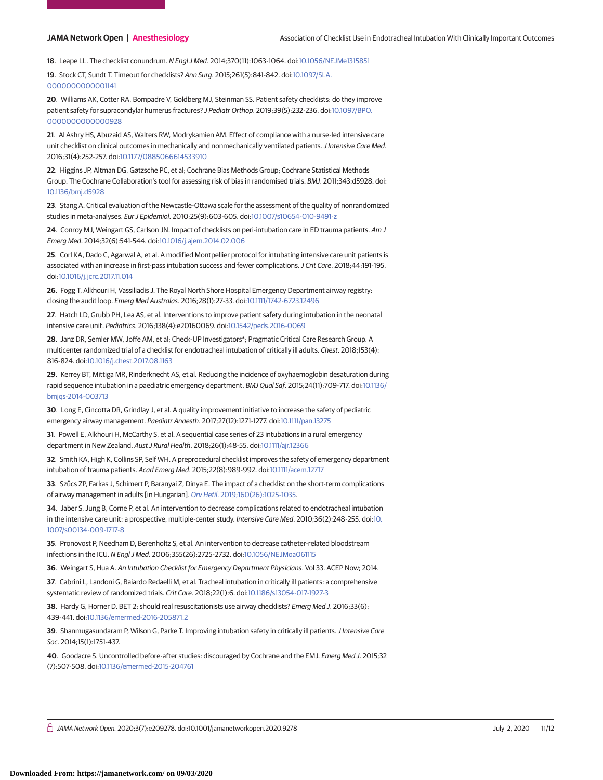**18**. Leape LL. The checklist conundrum. N Engl J Med. 2014;370(11):1063-1064. doi[:10.1056/NEJMe1315851](https://dx.doi.org/10.1056/NEJMe1315851)

**19**. Stock CT, Sundt T. Timeout for checklists? Ann Surg. 2015;261(5):841-842. doi[:10.1097/SLA.](https://dx.doi.org/10.1097/SLA.0000000000001141) [0000000000001141](https://dx.doi.org/10.1097/SLA.0000000000001141)

**20**. Williams AK, Cotter RA, Bompadre V, Goldberg MJ, Steinman SS. Patient safety checklists: do they improve patient safety for supracondylar humerus fractures? J Pediatr Orthop. 2019;39(5):232-236. doi[:10.1097/BPO.](https://dx.doi.org/10.1097/BPO.0000000000000928) [0000000000000928](https://dx.doi.org/10.1097/BPO.0000000000000928)

**21**. Al Ashry HS, Abuzaid AS, Walters RW, Modrykamien AM. Effect of compliance with a nurse-led intensive care unit checklist on clinical outcomes in mechanically and nonmechanically ventilated patients. J Intensive Care Med. 2016;31(4):252-257. doi[:10.1177/0885066614533910](https://dx.doi.org/10.1177/0885066614533910)

**22**. Higgins JP, Altman DG, Gøtzsche PC, et al; Cochrane Bias Methods Group; Cochrane Statistical Methods Group. The Cochrane Collaboration's tool for assessing risk of bias in randomised trials. BMJ. 2011;343:d5928. doi: [10.1136/bmj.d5928](https://dx.doi.org/10.1136/bmj.d5928)

**23**. Stang A. Critical evaluation of the Newcastle-Ottawa scale for the assessment of the quality of nonrandomized studies in meta-analyses. Eur J Epidemiol. 2010;25(9):603-605. doi[:10.1007/s10654-010-9491-z](https://dx.doi.org/10.1007/s10654-010-9491-z)

**24**. Conroy MJ, Weingart GS, Carlson JN. Impact of checklists on peri-intubation care in ED trauma patients. Am J Emerg Med. 2014;32(6):541-544. doi[:10.1016/j.ajem.2014.02.006](https://dx.doi.org/10.1016/j.ajem.2014.02.006)

**25**. Corl KA, Dado C, Agarwal A, et al. A modified Montpellier protocol for intubating intensive care unit patients is associated with an increase in first-pass intubation success and fewer complications.J Crit Care. 2018;44:191-195. doi[:10.1016/j.jcrc.2017.11.014](https://dx.doi.org/10.1016/j.jcrc.2017.11.014)

**26**. Fogg T, Alkhouri H, Vassiliadis J. The Royal North Shore Hospital Emergency Department airway registry: closing the audit loop. Emerg Med Australas. 2016;28(1):27-33. doi[:10.1111/1742-6723.12496](https://dx.doi.org/10.1111/1742-6723.12496)

**27**. Hatch LD, Grubb PH, Lea AS, et al. Interventions to improve patient safety during intubation in the neonatal intensive care unit. Pediatrics. 2016;138(4):e20160069. doi[:10.1542/peds.2016-0069](https://dx.doi.org/10.1542/peds.2016-0069)

**28**. Janz DR, Semler MW, Joffe AM, et al; Check-UP Investigators\*; Pragmatic Critical Care Research Group. A multicenter randomized trial of a checklist for endotracheal intubation of critically ill adults. Chest. 2018;153(4): 816-824. doi[:10.1016/j.chest.2017.08.1163](https://dx.doi.org/10.1016/j.chest.2017.08.1163)

**29**. Kerrey BT, Mittiga MR, Rinderknecht AS, et al. Reducing the incidence of oxyhaemoglobin desaturation during rapid sequence intubation in a paediatric emergency department. BMJ Qual Saf. 2015;24(11):709-717. doi[:10.1136/](https://dx.doi.org/10.1136/bmjqs-2014-003713) [bmjqs-2014-003713](https://dx.doi.org/10.1136/bmjqs-2014-003713)

**30**. Long E, Cincotta DR, Grindlay J, et al. A quality improvement initiative to increase the safety of pediatric emergency airway management. Paediatr Anaesth. 2017;27(12):1271-1277. doi[:10.1111/pan.13275](https://dx.doi.org/10.1111/pan.13275)

**31**. Powell E, Alkhouri H, McCarthy S, et al. A sequential case series of 23 intubations in a rural emergency department in New Zealand. Aust J Rural Health. 2018;26(1):48-55. doi[:10.1111/ajr.12366](https://dx.doi.org/10.1111/ajr.12366)

**32**. Smith KA, High K, Collins SP, Self WH. A preprocedural checklist improves the safety of emergency department intubation of trauma patients. Acad Emerg Med. 2015;22(8):989-992. doi[:10.1111/acem.12717](https://dx.doi.org/10.1111/acem.12717)

**33**. Szűcs ZP, Farkas J, Schimert P, Baranyai Z, Dinya E. The impact of a checklist on the short-term complications of airway management in adults [in Hungarian]. Orv Hetil[. 2019;160\(26\):1025-1035.](https://www.ncbi.nlm.nih.gov/pubmed/31230469)

**34**. Jaber S, Jung B, Corne P, et al. An intervention to decrease complications related to endotracheal intubation in the intensive care unit: a prospective, multiple-center study. Intensive Care Med. 2010;36(2):248-255. doi[:10.](https://dx.doi.org/10.1007/s00134-009-1717-8) [1007/s00134-009-1717-8](https://dx.doi.org/10.1007/s00134-009-1717-8)

**35**. Pronovost P, Needham D, Berenholtz S, et al. An intervention to decrease catheter-related bloodstream infections in the ICU. N Engl J Med. 2006;355(26):2725-2732. doi[:10.1056/NEJMoa061115](https://dx.doi.org/10.1056/NEJMoa061115)

**36**. Weingart S, Hua A. An Intubation Checklist for Emergency Department Physicians. Vol 33. ACEP Now; 2014.

**37**. Cabrini L, Landoni G, Baiardo Redaelli M, et al. Tracheal intubation in critically ill patients: a comprehensive systematic review of randomized trials. Crit Care. 2018;22(1):6. doi[:10.1186/s13054-017-1927-3](https://dx.doi.org/10.1186/s13054-017-1927-3)

**38**. Hardy G, Horner D. BET 2: should real resuscitationists use airway checklists? Emerg Med J. 2016;33(6): 439-441. doi[:10.1136/emermed-2016-205871.2](https://dx.doi.org/10.1136/emermed-2016-205871.2)

**39**. Shanmugasundaram P, Wilson G, Parke T. Improving intubation safety in critically ill patients. *J Intensive Care* Soc. 2014;15(1):1751-437.

**40**. Goodacre S. Uncontrolled before-after studies: discouraged by Cochrane and the EMJ. Emerg Med J. 2015;32 (7):507-508. doi[:10.1136/emermed-2015-204761](https://dx.doi.org/10.1136/emermed-2015-204761)

 $\stackrel{\curvearrowright}{\cap}$  JAMA Network Open. 2020;3(7):e209278. doi:10.1001/jamanetworkopen.2020.9278 (Reprinted) July 2, 2020 11/12